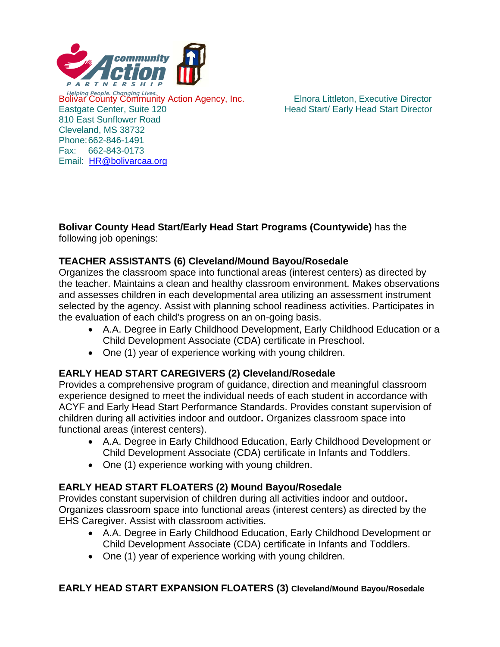

Bolivar County Community Action Agency, Inc.<br>
Bolivar County Community Action Agency, Inc.<br>
Elnora Littleton, Executive Director Eastgate Center, Suite 120 **Head Start Carly Head Start Director** Head Start Director 810 East Sunflower Road Cleveland, MS 38732 Phone:662-846-1491 Fax: 662-843-0173 Email: [HR@bolivarcaa.org](mailto:HR@bolivarcaa.org)

#### **Bolivar County Head Start/Early Head Start Programs (Countywide)** has the following job openings:

# **TEACHER ASSISTANTS (6) Cleveland/Mound Bayou/Rosedale**

Organizes the classroom space into functional areas (interest centers) as directed by the teacher. Maintains a clean and healthy classroom environment. Makes observations and assesses children in each developmental area utilizing an assessment instrument selected by the agency. Assist with planning school readiness activities. Participates in the evaluation of each child's progress on an on-going basis.

- A.A. Degree in Early Childhood Development, Early Childhood Education or a Child Development Associate (CDA) certificate in Preschool.
- One (1) year of experience working with young children.

### **EARLY HEAD START CAREGIVERS (2) Cleveland/Rosedale**

Provides a comprehensive program of guidance, direction and meaningful classroom experience designed to meet the individual needs of each student in accordance with ACYF and Early Head Start Performance Standards. Provides constant supervision of children during all activities indoor and outdoor**.** Organizes classroom space into functional areas (interest centers).

- A.A. Degree in Early Childhood Education, Early Childhood Development or Child Development Associate (CDA) certificate in Infants and Toddlers.
- One (1) experience working with young children.

### **EARLY HEAD START FLOATERS (2) Mound Bayou/Rosedale**

Provides constant supervision of children during all activities indoor and outdoor**.**  Organizes classroom space into functional areas (interest centers) as directed by the EHS Caregiver. Assist with classroom activities.

- A.A. Degree in Early Childhood Education, Early Childhood Development or Child Development Associate (CDA) certificate in Infants and Toddlers.
- One (1) year of experience working with young children.

### **EARLY HEAD START EXPANSION FLOATERS (3) Cleveland/Mound Bayou/Rosedale**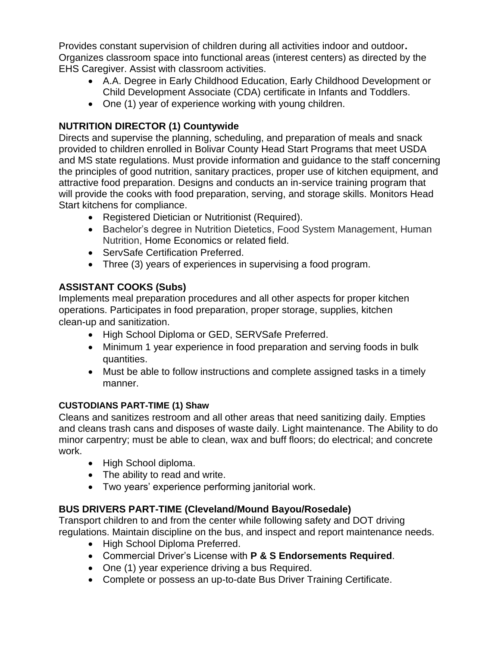Provides constant supervision of children during all activities indoor and outdoor**.**  Organizes classroom space into functional areas (interest centers) as directed by the EHS Caregiver. Assist with classroom activities.

- A.A. Degree in Early Childhood Education, Early Childhood Development or Child Development Associate (CDA) certificate in Infants and Toddlers.
- One (1) year of experience working with young children.

# **NUTRITION DIRECTOR (1) Countywide**

Directs and supervise the planning, scheduling, and preparation of meals and snack provided to children enrolled in Bolivar County Head Start Programs that meet USDA and MS state regulations. Must provide information and guidance to the staff concerning the principles of good nutrition, sanitary practices, proper use of kitchen equipment, and attractive food preparation. Designs and conducts an in-service training program that will provide the cooks with food preparation, serving, and storage skills. Monitors Head Start kitchens for compliance.

- Registered Dietician or Nutritionist (Required).
- Bachelor's degree in Nutrition Dietetics, Food System Management, Human Nutrition, Home Economics or related field.
- ServSafe Certification Preferred.
- Three (3) years of experiences in supervising a food program.

# **ASSISTANT COOKS (Subs)**

Implements meal preparation procedures and all other aspects for proper kitchen operations. Participates in food preparation, proper storage, supplies, kitchen clean-up and sanitization.

- High School Diploma or GED, SERVSafe Preferred.
- Minimum 1 year experience in food preparation and serving foods in bulk quantities.
- Must be able to follow instructions and complete assigned tasks in a timely manner.

### **CUSTODIANS PART-TIME (1) Shaw**

Cleans and sanitizes restroom and all other areas that need sanitizing daily. Empties and cleans trash cans and disposes of waste daily. Light maintenance. The Ability to do minor carpentry; must be able to clean, wax and buff floors; do electrical; and concrete work.

- High School diploma.
- The ability to read and write.
- Two years' experience performing janitorial work.

### **BUS DRIVERS PART-TIME (Cleveland/Mound Bayou/Rosedale)**

Transport children to and from the center while following safety and DOT driving regulations. Maintain discipline on the bus, and inspect and report maintenance needs.

- High School Diploma Preferred.
- Commercial Driver's License with **P & S Endorsements Required**.
- One (1) year experience driving a bus Required.
- Complete or possess an up-to-date Bus Driver Training Certificate.